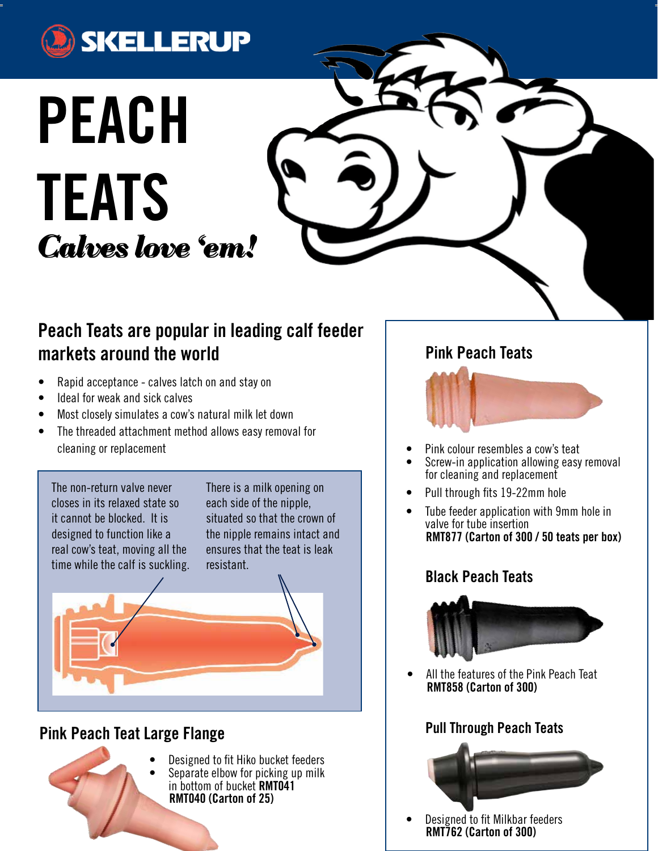

# **PEACH TEATS** *Calves love 'em!*

# **Peach Teats are popular in leading calf feeder markets around the world**

- Rapid acceptance calves latch on and stay on
- Ideal for weak and sick calves
- Most closely simulates a cow's natural milk let down
- The threaded attachment method allows easy removal for cleaning or replacement

The non-return valve never closes in its relaxed state so it cannot be blocked. It is designed to function like a real cow's teat, moving all the time while the calf is suckling. There is a milk opening on each side of the nipple, situated so that the crown of the nipple remains intact and ensures that the teat is leak resistant.

# **Pink Peach Teat Large Flange**



Designed to fit Hiko bucket feeders Separate elbow for picking up milk in bottom of bucket **RMT041 RMT040 (Carton of 25)**

## **Pink Peach Teats**



- Pink colour resembles a cow's teat
- Screw-in application allowing easy removal for cleaning and replacement
- Pull through fits 19-22mm hole
- Tube feeder application with 9mm hole in valve for tube insertion  **RMT877 (Carton of 300 / 50 teats per box)**

## **Black Peach Teats**



All the features of the Pink Peach Teat  **RMT858 (Carton of 300)**

## **Pull Through Peach Teats**



Designed to fit Milkbar feeders  **RMT762 (Carton of 300)**